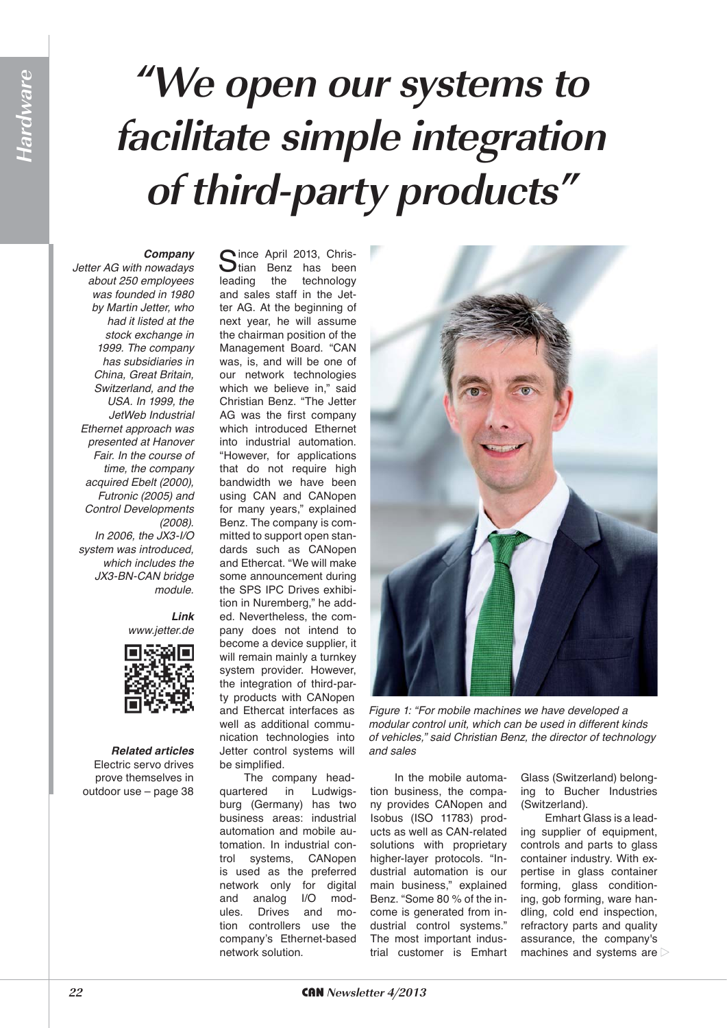## **"We open our systems to facilitate simple integration of third-party products"**

#### *Company*

*Jetter AG with nowadays about 250 employees was founded in 1980 by Martin Jetter, who had it listed at the stock exchange in 1999. The company has subsidiaries in China, Great Britain, Switzerland, and the USA. In 1999, the JetWeb Industrial Ethernet approach was presented at Hanover Fair. In the course of time, the company acquired Ebelt (2000), Futronic (2005) and Control Developments (2008). In 2006, the JX3-I/O system was introduced, which includes the JX3-BN-CAN bridge module.*

> *Link www.jetter.de*



*Related articles* Electric servo drives prove themselves in outdoor use – page 38

Since April 2013, Chris-<br>Stian Benz has been leading the technology and sales staff in the Jetter AG. At the beginning of next year, he will assume the chairman position of the Management Board. "CAN was, is, and will be one of our network technologies which we believe in," said Christian Benz. "The Jetter AG was the first company which introduced Ethernet into industrial automation. "However, for applications that do not require high bandwidth we have been using CAN and CANopen for many years," explained Benz. The company is committed to support open standards such as CANopen and Ethercat. "We will make some announcement during the SPS IPC Drives exhibition in Nuremberg," he added. Nevertheless, the company does not intend to become a device supplier, it will remain mainly a turnkey system provider. However, the integration of third-party products with CANopen and Ethercat interfaces as well as additional communication technologies into Jetter control systems will be simplified.

The company headquartered in Ludwigsburg (Germany) has two business areas: industrial automation and mobile automation. In industrial control systems, CANopen is used as the preferred network only for digital and analog I/O modules. Drives and motion controllers use the company's Ethernet-based network solution.



*Figure 1: "For mobile machines we have developed a modular control unit, which can be used in different kinds of vehicles," said Christian Benz, the director of technology and sales*

In the mobile automation business, the company provides CANopen and Isobus (ISO 11783) products as well as CAN-related solutions with proprietary higher-layer protocols. "Industrial automation is our main business," explained Benz. "Some 80 % of the income is generated from industrial control systems." The most important industrial customer is Emhart Glass (Switzerland) belonging to Bucher Industries (Switzerland).

Emhart Glass is a leading supplier of equipment, controls and parts to glass container industry. With expertise in glass container forming, glass conditioning, gob forming, ware handling, cold end inspection, refractory parts and quality assurance, the company's machines and systems are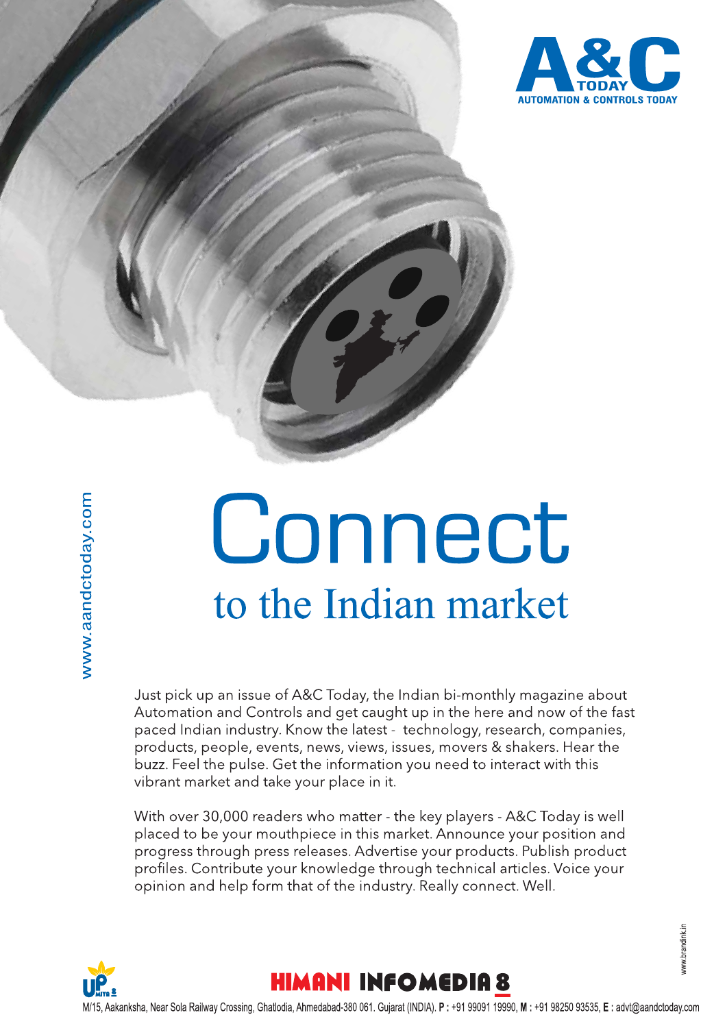

# Connect to the Indian market

Just pick up an issue of A&C Today, the Indian bi-monthly magazine about Automation and Controls and get caught up in the here and now of the fast paced Indian industry. Know the latest - technology, research, companies, products, people, events, news, views, issues, movers & shakers. Hear the buzz. Feel the pulse. Get the information you need to interact with this vibrant market and take your place in it.

With over 30,000 readers who matter - the key players - A&C Today is well placed to be your mouthpiece in this market. Announce your position and progress through press releases. Advertise your products. Publish product profiles. Contribute your knowledge through technical articles. Voice your opinion and help form that of the industry. Really connect. Well.

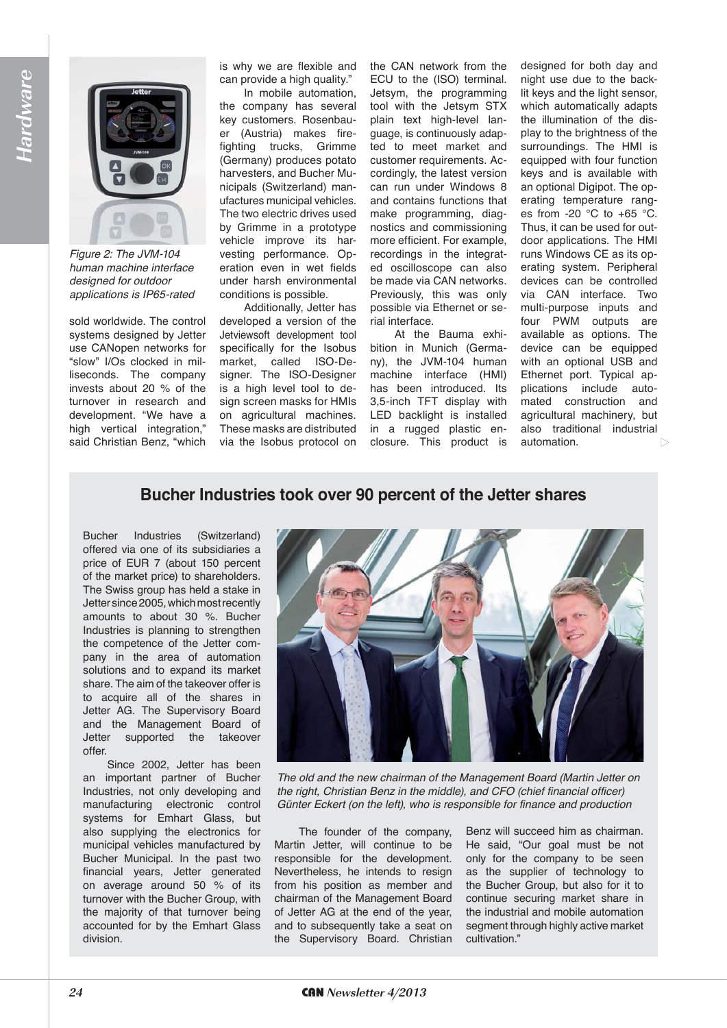

*Figure 2: The JVM-104 human machine interface designed for outdoor applications is IP65-rated*

sold worldwide. The control systems designed by Jetter use CANopen networks for "slow" I/Os clocked in milliseconds. The company invests about 20 % of the turnover in research and development. "We have a high vertical integration," said Christian Benz, "which

is why we are flexible and can provide a high quality."

In mobile automation, the company has several key customers. Rosenbauer (Austria) makes firefighting trucks, Grimme (Germany) produces potato harvesters, and Bucher Municipals (Switzerland) manufactures municipal vehicles. The two electric drives used by Grimme in a prototype vehicle improve its harvesting performance. Operation even in wet fields under harsh environmental conditions is possible.

Additionally, Jetter has developed a version of the Jetviewsoft development tool specifically for the Isobus market, called ISO-Designer. The ISO-Designer is a high level tool to design screen masks for HMIs on agricultural machines. These masks are distributed via the Isobus protocol on the CAN network from the ECU to the (ISO) terminal. Jetsym, the programming tool with the Jetsym STX plain text high-level language, is continuously adapted to meet market and customer requirements. Accordingly, the latest version can run under Windows 8 and contains functions that make programming, diagnostics and commissioning more efficient. For example, recordings in the integrated oscilloscope can also be made via CAN networks. Previously, this was only possible via Ethernet or serial interface.

At the Bauma exhibition in Munich (Germany), the JVM-104 human machine interface (HMI) has been introduced. Its 3,5-inch TFT display with LED backlight is installed in a rugged plastic enclosure. This product is

designed for both day and night use due to the backlit keys and the light sensor, which automatically adapts the illumination of the display to the brightness of the surroundings. The HMI is equipped with four function keys and is available with an optional Digipot. The operating temperature ranges from -20 °C to +65 °C. Thus, it can be used for outdoor applications. The HMI runs Windows CE as its operating system. Peripheral devices can be controlled via CAN interface. Two multi-purpose inputs and four PWM outputs are available as options. The device can be equipped with an optional USB and Ethernet port. Typical applications include automated construction and agricultural machinery, but also traditional industrial automation.  $\triangleright$ 

#### Bucher Industries took over 90 percent of the Jetter shares

Bucher Industries (Switzerland) offered via one of its subsidiaries a price of EUR 7 (about 150 percent of the market price) to shareholders. The Swiss group has held a stake in Jetter since 2005, which most recently amounts to about 30 %. Bucher Industries is planning to strengthen the competence of the Jetter company in the area of automation solutions and to expand its market share. The aim of the takeover offer is to acquire all of the shares in Jetter AG. The Supervisory Board and the Management Board of Jetter supported the takeover offer.

Since 2002, Jetter has been an important partner of Bucher Industries, not only developing and manufacturing electronic control systems for Emhart Glass, but also supplying the electronics for municipal vehicles manufactured by Bucher Municipal. In the past two financial years, Jetter generated on average around 50 % of its turnover with the Bucher Group, with the majority of that turnover being accounted for by the Emhart Glass division.



*The old and the new chairman of the Management Board (Martin Jetter on the right, Christian Benz in the middle), and CFO (chief financial officer) Günter Eckert (on the left), who is responsible for finance and production*

The founder of the company, Martin Jetter, will continue to be responsible for the development. Nevertheless, he intends to resign from his position as member and chairman of the Management Board of Jetter AG at the end of the year, and to subsequently take a seat on the Supervisory Board. Christian Benz will succeed him as chairman. He said, "Our goal must be not only for the company to be seen as the supplier of technology to the Bucher Group, but also for it to continue securing market share in the industrial and mobile automation segment through highly active market cultivation."